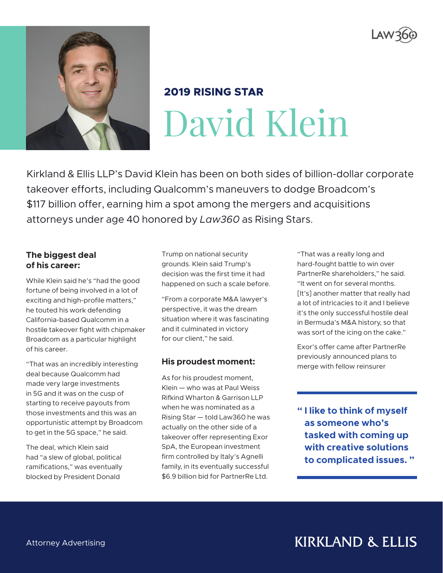



# **2019 RISING STAR** David Klein

Kirkland & Ellis LLP's David Klein has been on both sides of billion-dollar corporate takeover efforts, including Qualcomm's maneuvers to dodge Broadcom's \$117 billion offer, earning him a spot among the mergers and acquisitions attorneys under age 40 honored by *Law360* as Rising Stars.

#### **The biggest deal of his career:**

While Klein said he's "had the good fortune of being involved in a lot of exciting and high-profile matters," he touted his work defending California-based Qualcomm in a hostile takeover fight with chipmaker Broadcom as a particular highlight of his career.

"That was an incredibly interesting deal because Qualcomm had made very large investments in 5G and it was on the cusp of starting to receive payouts from those investments and this was an opportunistic attempt by Broadcom to get in the 5G space," he said.

The deal, which Klein said had "a slew of global, political ramifications," was eventually blocked by President Donald

Trump on national security grounds. Klein said Trump's decision was the first time it had happened on such a scale before.

"From a corporate M&A lawyer's perspective, it was the dream situation where it was fascinating and it culminated in victory for our client," he said.

## **His proudest moment:**

As for his proudest moment, Klein — who was at Paul Weiss Rifkind Wharton & Garrison LLP when he was nominated as a Rising Star — told Law360 he was actually on the other side of a takeover offer representing Exor SpA, the European investment firm controlled by Italy's Agnelli family, in its eventually successful \$6.9 billion bid for PartnerRe Ltd.

"That was a really long and hard-fought battle to win over PartnerRe shareholders," he said. "It went on for several months. [It's] another matter that really had a lot of intricacies to it and I believe it's the only successful hostile deal in Bermuda's M&A history, so that was sort of the icing on the cake."

Exor's offer came after PartnerRe previously announced plans to merge with fellow reinsurer

**" I like to think of myself as someone who's tasked with coming up with creative solutions to complicated issues. "**